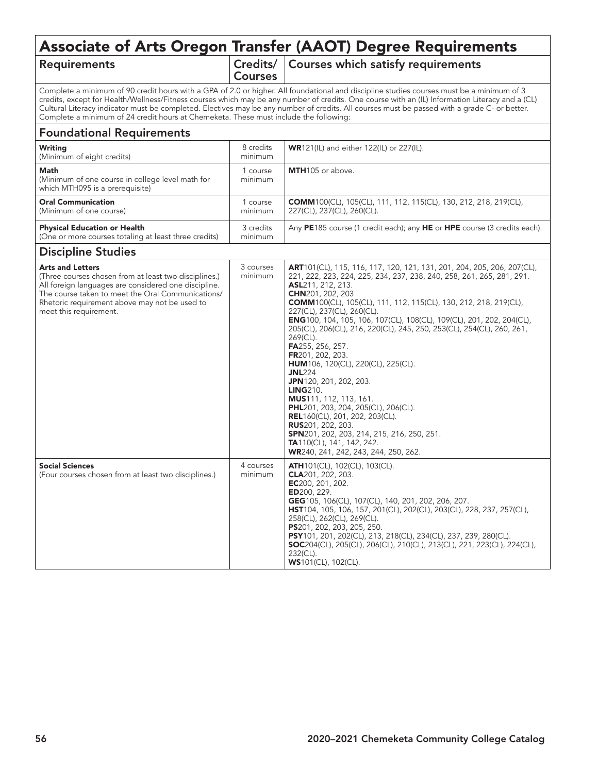# Associate of Arts Oregon Transfer (AAOT) Degree Requirements

## Requirements

Courses

 $C<sub>redits</sub>/\vert$  Courses which satisfy requirements

Complete a minimum of 90 credit hours with a GPA of 2.0 or higher. All foundational and discipline studies courses must be a minimum of 3 credits, except for Health/Wellness/Fitness courses which may be any number of credits. One course with an (IL) Information Literacy and a (CL) Cultural Literacy indicator must be completed. Electives may be any number of credits. All courses must be passed with a grade C- or better. Complete a minimum of 24 credit hours at Chemeketa. These must include the following:

### Foundational Requirements

| Writing<br>(Minimum of eight credits)                                                        | 8 credits<br>minimum | <b>WR121(IL)</b> and either 122(IL) or 227(IL).                                                       |
|----------------------------------------------------------------------------------------------|----------------------|-------------------------------------------------------------------------------------------------------|
| Math<br>(Minimum of one course in college level math for<br>which MTH095 is a prerequisite)  | course<br>minimum    | <b>MTH</b> 105 or above.                                                                              |
| <b>Oral Communication</b><br>(Minimum of one course)                                         | course<br>minimum    | <b>COMM100(CL), 105(CL), 111, 112, 115(CL), 130, 212, 218, 219(CL),</b><br>227(CL), 237(CL), 260(CL). |
| <b>Physical Education or Health</b><br>(One or more courses totaling at least three credits) | 3 credits<br>minimum | Any PE185 course (1 credit each); any HE or HPE course (3 credits each).                              |

#### Discipline Studies

| <b>Arts and Letters</b><br>(Three courses chosen from at least two disciplines.)<br>All foreign languages are considered one discipline.<br>The course taken to meet the Oral Communications/<br>Rhetoric requirement above may not be used to<br>meet this requirement. | 3 courses<br>minimum | <b>ART</b> 101(CL), 115, 116, 117, 120, 121, 131, 201, 204, 205, 206, 207(CL),<br>221, 222, 223, 224, 225, 234, 237, 238, 240, 258, 261, 265, 281, 291.<br>ASL211, 212, 213.<br><b>CHN</b> 201, 202, 203<br><b>COMM</b> 100(CL), 105(CL), 111, 112, 115(CL), 130, 212, 218, 219(CL),<br>227(CL), 237(CL), 260(CL).<br><b>ENG</b> 100, 104, 105, 106, 107(CL), 108(CL), 109(CL), 201, 202, 204(CL),<br>205(CL), 206(CL), 216, 220(CL), 245, 250, 253(CL), 254(CL), 260, 261,<br>269(CL).<br>FA255, 256, 257.<br>FR201, 202, 203.<br><b>HUM</b> 106, 120(CL), 220(CL), 225(CL).<br><b>JNL224</b><br>JPN120, 201, 202, 203.<br><b>LING210.</b><br><b>MUS</b> 111, 112, 113, 161.<br><b>PHL</b> 201, 203, 204, 205(CL), 206(CL).<br><b>REL</b> 160(CL), 201, 202, 203(CL).<br><b>RUS</b> 201, 202, 203.<br><b>SPN</b> 201, 202, 203, 214, 215, 216, 250, 251.<br><b>TA</b> 110(CL), 141, 142, 242. |
|--------------------------------------------------------------------------------------------------------------------------------------------------------------------------------------------------------------------------------------------------------------------------|----------------------|------------------------------------------------------------------------------------------------------------------------------------------------------------------------------------------------------------------------------------------------------------------------------------------------------------------------------------------------------------------------------------------------------------------------------------------------------------------------------------------------------------------------------------------------------------------------------------------------------------------------------------------------------------------------------------------------------------------------------------------------------------------------------------------------------------------------------------------------------------------------------------------------|
| <b>Social Sciences</b><br>(Four courses chosen from at least two disciplines.)                                                                                                                                                                                           | 4 courses<br>minimum | WR240, 241, 242, 243, 244, 250, 262.<br><b>ATH</b> 101(CL), 102(CL), 103(CL).<br>CLA201, 202, 203.<br>EC200, 201, 202.<br>ED200, 229.<br>GEG105, 106(CL), 107(CL), 140, 201, 202, 206, 207.<br><b>HST</b> 104, 105, 106, 157, 201(CL), 202(CL), 203(CL), 228, 237, 257(CL),<br>258(CL), 262(CL), 269(CL).<br>PS201, 202, 203, 205, 250.<br>PSY101, 201, 202(CL), 213, 218(CL), 234(CL), 237, 239, 280(CL).<br><b>SOC</b> 204(CL), 205(CL), 206(CL), 210(CL), 213(CL), 221, 223(CL), 224(CL),<br>232(CL).<br><b>WS101(CL), 102(CL).</b>                                                                                                                                                                                                                                                                                                                                                         |